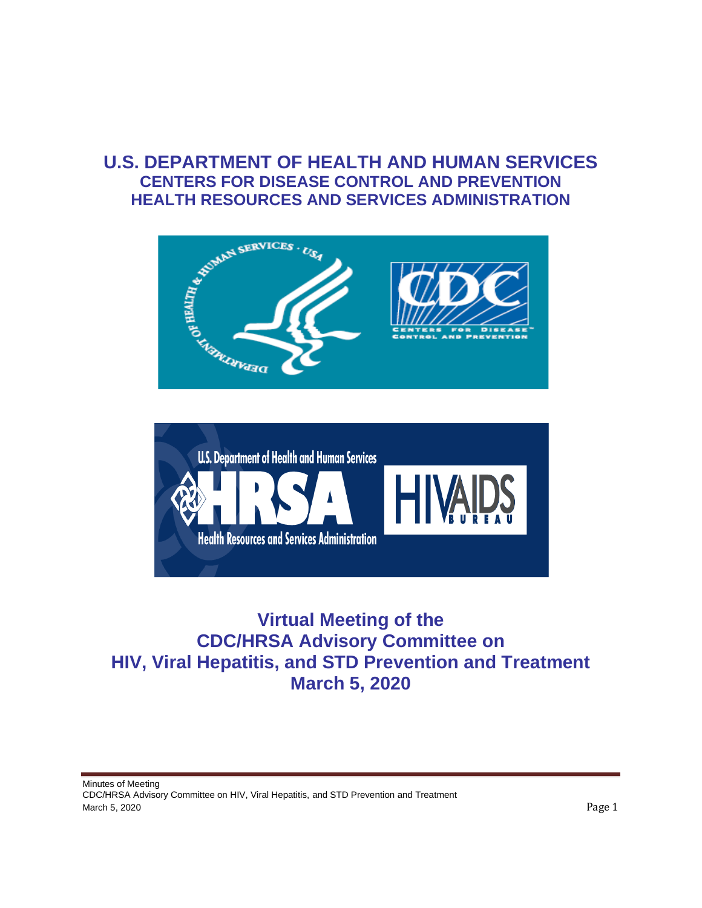# **U.S. DEPARTMENT OF HEALTH AND HUMAN SERVICES CENTERS FOR DISEASE CONTROL AND PREVENTION HEALTH RESOURCES AND SERVICES ADMINISTRATION**





# **Virtual Meeting of the CDC/HRSA Advisory Committee on HIV, Viral Hepatitis, and STD Prevention and Treatment March 5, 2020**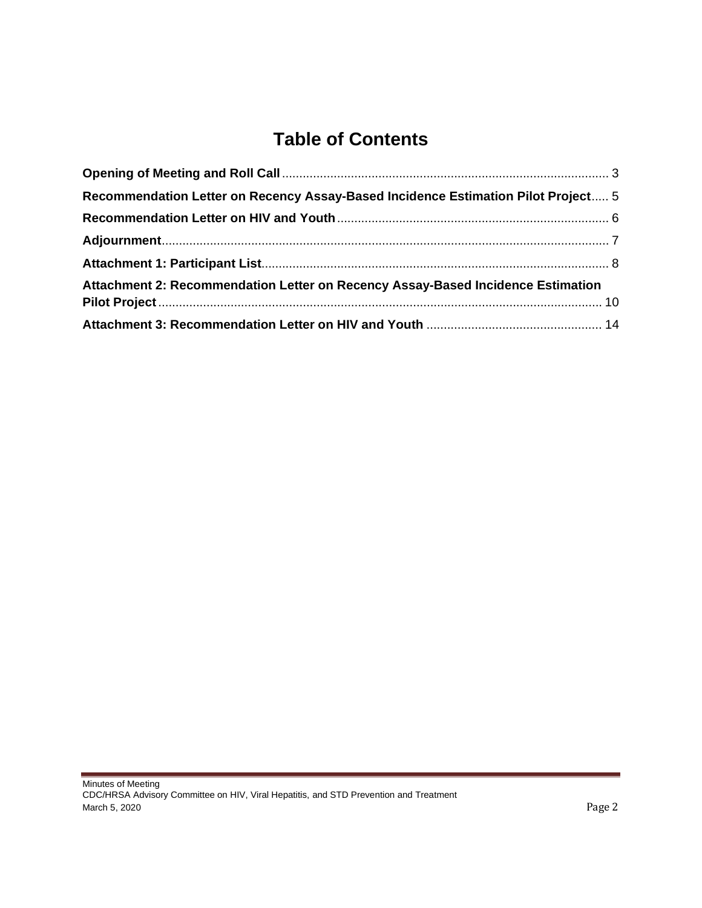# **Table of Contents**

| Recommendation Letter on Recency Assay-Based Incidence Estimation Pilot Project 5 |  |  |
|-----------------------------------------------------------------------------------|--|--|
|                                                                                   |  |  |
|                                                                                   |  |  |
|                                                                                   |  |  |
| Attachment 2: Recommendation Letter on Recency Assay-Based Incidence Estimation   |  |  |
|                                                                                   |  |  |
|                                                                                   |  |  |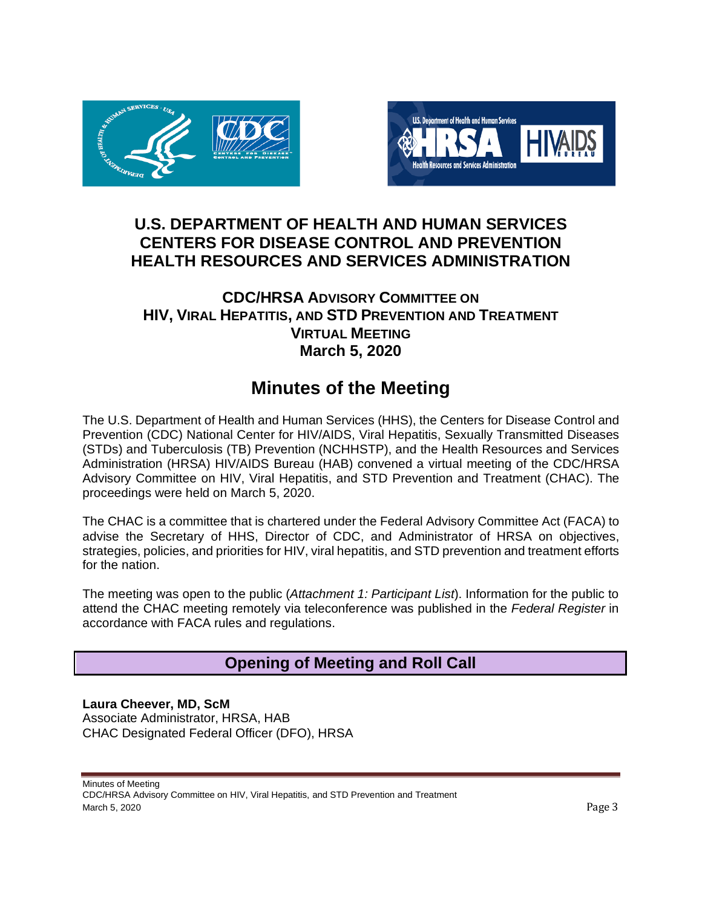



# **U.S. DEPARTMENT OF HEALTH AND HUMAN SERVICES CENTERS FOR DISEASE CONTROL AND PREVENTION HEALTH RESOURCES AND SERVICES ADMINISTRATION**

# **CDC/HRSA ADVISORY COMMITTEE ON HIV, VIRAL HEPATITIS, AND STD PREVENTION AND TREATMENT VIRTUAL MEETING March 5, 2020**

# **Minutes of the Meeting**

The U.S. Department of Health and Human Services (HHS), the Centers for Disease Control and Prevention (CDC) National Center for HIV/AIDS, Viral Hepatitis, Sexually Transmitted Diseases (STDs) and Tuberculosis (TB) Prevention (NCHHSTP), and the Health Resources and Services Administration (HRSA) HIV/AIDS Bureau (HAB) convened a virtual meeting of the CDC/HRSA Advisory Committee on HIV, Viral Hepatitis, and STD Prevention and Treatment (CHAC). The proceedings were held on March 5, 2020.

The CHAC is a committee that is chartered under the Federal Advisory Committee Act (FACA) to advise the Secretary of HHS, Director of CDC, and Administrator of HRSA on objectives, strategies, policies, and priorities for HIV, viral hepatitis, and STD prevention and treatment efforts for the nation.

The meeting was open to the public (*Attachment 1: Participant List*). Information for the public to attend the CHAC meeting remotely via teleconference was published in the *Federal Register* in accordance with FACA rules and regulations.

# **Opening of Meeting and Roll Call**

**Laura Cheever, MD, ScM** Associate Administrator, HRSA, HAB CHAC Designated Federal Officer (DFO), HRSA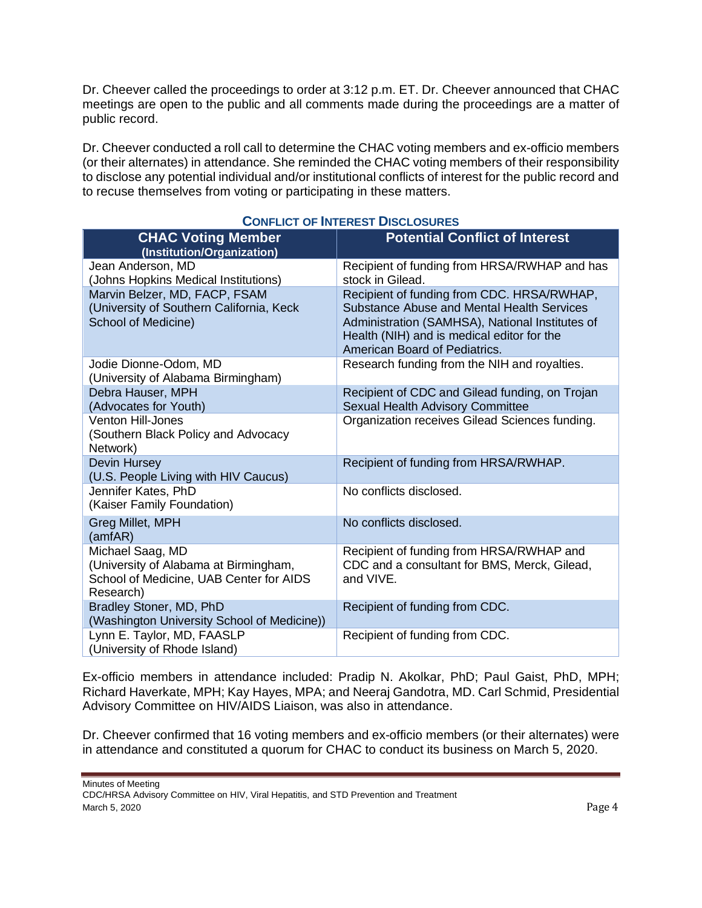<span id="page-3-0"></span>Dr. Cheever called the proceedings to order at 3:12 p.m. ET. Dr. Cheever announced that CHAC meetings are open to the public and all comments made during the proceedings are a matter of public record.

Dr. Cheever conducted a roll call to determine the CHAC voting members and ex-officio members (or their alternates) in attendance. She reminded the CHAC voting members of their responsibility to disclose any potential individual and/or institutional conflicts of interest for the public record and to recuse themselves from voting or participating in these matters.

| <b>CHAC Voting Member</b><br>(Institution/Organization)                                                           | <b>Potential Conflict of Interest</b>                                                                                                                                                                                      |
|-------------------------------------------------------------------------------------------------------------------|----------------------------------------------------------------------------------------------------------------------------------------------------------------------------------------------------------------------------|
| Jean Anderson, MD<br>(Johns Hopkins Medical Institutions)                                                         | Recipient of funding from HRSA/RWHAP and has<br>stock in Gilead.                                                                                                                                                           |
| Marvin Belzer, MD, FACP, FSAM<br>(University of Southern California, Keck<br>School of Medicine)                  | Recipient of funding from CDC. HRSA/RWHAP,<br>Substance Abuse and Mental Health Services<br>Administration (SAMHSA), National Institutes of<br>Health (NIH) and is medical editor for the<br>American Board of Pediatrics. |
| Jodie Dionne-Odom, MD<br>(University of Alabama Birmingham)                                                       | Research funding from the NIH and royalties.                                                                                                                                                                               |
| Debra Hauser, MPH<br>(Advocates for Youth)                                                                        | Recipient of CDC and Gilead funding, on Trojan<br>Sexual Health Advisory Committee                                                                                                                                         |
| <b>Venton Hill-Jones</b><br>(Southern Black Policy and Advocacy<br>Network)                                       | Organization receives Gilead Sciences funding.                                                                                                                                                                             |
| Devin Hursey<br>(U.S. People Living with HIV Caucus)                                                              | Recipient of funding from HRSA/RWHAP.                                                                                                                                                                                      |
| Jennifer Kates, PhD<br>(Kaiser Family Foundation)                                                                 | No conflicts disclosed.                                                                                                                                                                                                    |
| Greg Millet, MPH<br>(amfAR)                                                                                       | No conflicts disclosed.                                                                                                                                                                                                    |
| Michael Saag, MD<br>(University of Alabama at Birmingham,<br>School of Medicine, UAB Center for AIDS<br>Research) | Recipient of funding from HRSA/RWHAP and<br>CDC and a consultant for BMS, Merck, Gilead,<br>and VIVE.                                                                                                                      |
| Bradley Stoner, MD, PhD<br>(Washington University School of Medicine))                                            | Recipient of funding from CDC.                                                                                                                                                                                             |
| Lynn E. Taylor, MD, FAASLP<br>(University of Rhode Island)                                                        | Recipient of funding from CDC.                                                                                                                                                                                             |

# **CONFLICT OF INTEREST DISCLOSURES**

Ex-officio members in attendance included: Pradip N. Akolkar, PhD; Paul Gaist, PhD, MPH; Richard Haverkate, MPH; Kay Hayes, MPA; and Neeraj Gandotra, MD. Carl Schmid, Presidential Advisory Committee on HIV/AIDS Liaison, was also in attendance.

Dr. Cheever confirmed that 16 voting members and ex-officio members (or their alternates) were in attendance and constituted a quorum for CHAC to conduct its business on March 5, 2020.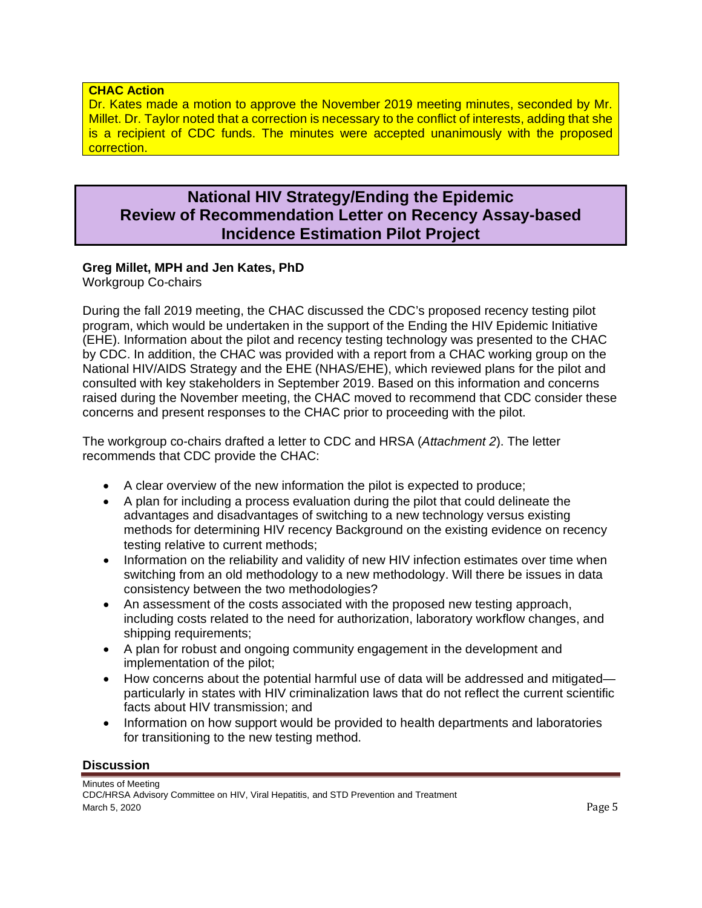### <span id="page-4-0"></span>**CHAC Action**

Dr. Kates made a motion to approve the November 2019 meeting minutes, seconded by Mr. Millet. Dr. Taylor noted that a correction is necessary to the conflict of interests, adding that she is a recipient of CDC funds. The minutes were accepted unanimously with the proposed correction.

# **National HIV Strategy/Ending the Epidemic Review of Recommendation Letter on Recency Assay-based Incidence Estimation Pilot Project**

### **Greg Millet, MPH and Jen Kates, PhD**

Workgroup Co-chairs

During the fall 2019 meeting, the CHAC discussed the CDC's proposed recency testing pilot program, which would be undertaken in the support of the Ending the HIV Epidemic Initiative (EHE). Information about the pilot and recency testing technology was presented to the CHAC by CDC. In addition, the CHAC was provided with a report from a CHAC working group on the National HIV/AIDS Strategy and the EHE (NHAS/EHE), which reviewed plans for the pilot and consulted with key stakeholders in September 2019. Based on this information and concerns raised during the November meeting, the CHAC moved to recommend that CDC consider these concerns and present responses to the CHAC prior to proceeding with the pilot.

The workgroup co-chairs drafted a letter to CDC and HRSA (*Attachment 2*). The letter recommends that CDC provide the CHAC:

- A clear overview of the new information the pilot is expected to produce;
- A plan for including a process evaluation during the pilot that could delineate the advantages and disadvantages of switching to a new technology versus existing methods for determining HIV recency Background on the existing evidence on recency testing relative to current methods;
- Information on the reliability and validity of new HIV infection estimates over time when switching from an old methodology to a new methodology. Will there be issues in data consistency between the two methodologies?
- An assessment of the costs associated with the proposed new testing approach, including costs related to the need for authorization, laboratory workflow changes, and shipping requirements;
- A plan for robust and ongoing community engagement in the development and implementation of the pilot;
- How concerns about the potential harmful use of data will be addressed and mitigated particularly in states with HIV criminalization laws that do not reflect the current scientific facts about HIV transmission; and
- Information on how support would be provided to health departments and laboratories for transitioning to the new testing method.

### **Discussion**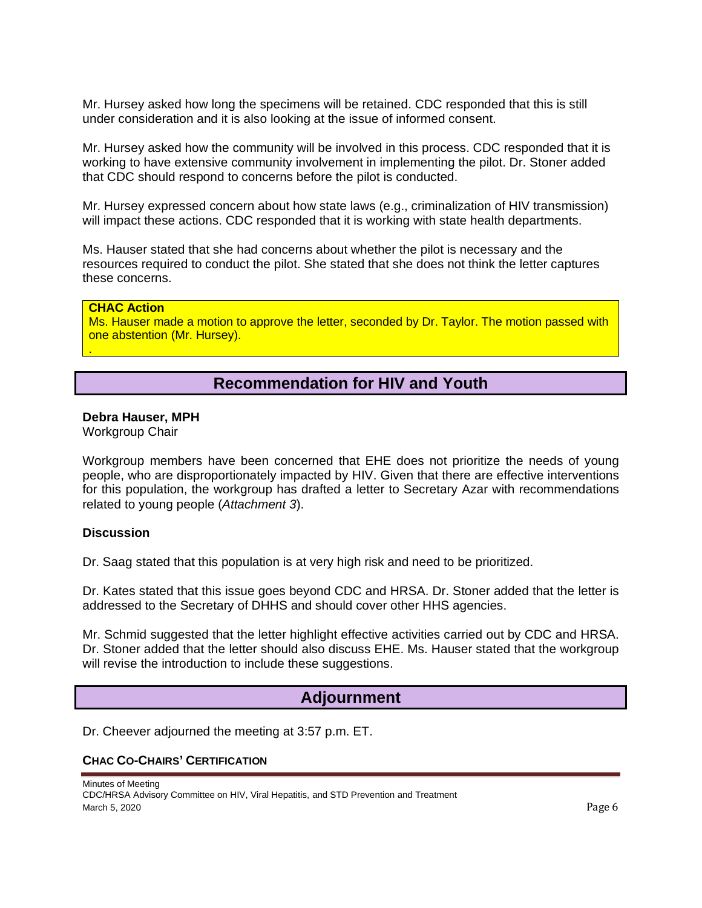<span id="page-5-0"></span>Mr. Hursey asked how long the specimens will be retained. CDC responded that this is still under consideration and it is also looking at the issue of informed consent.

Mr. Hursey asked how the community will be involved in this process. CDC responded that it is working to have extensive community involvement in implementing the pilot. Dr. Stoner added that CDC should respond to concerns before the pilot is conducted.

Mr. Hursey expressed concern about how state laws (e.g., criminalization of HIV transmission) will impact these actions. CDC responded that it is working with state health departments.

Ms. Hauser stated that she had concerns about whether the pilot is necessary and the resources required to conduct the pilot. She stated that she does not think the letter captures these concerns.

#### **CHAC Action**

.

Ms. Hauser made a motion to approve the letter, seconded by Dr. Taylor. The motion passed with one abstention (Mr. Hursey).

# **Recommendation for HIV and Youth**

#### **Debra Hauser, MPH**

Workgroup Chair

Workgroup members have been concerned that EHE does not prioritize the needs of young people, who are disproportionately impacted by HIV. Given that there are effective interventions for this population, the workgroup has drafted a letter to Secretary Azar with recommendations related to young people (*Attachment 3*).

#### **Discussion**

Dr. Saag stated that this population is at very high risk and need to be prioritized.

Dr. Kates stated that this issue goes beyond CDC and HRSA. Dr. Stoner added that the letter is addressed to the Secretary of DHHS and should cover other HHS agencies.

Mr. Schmid suggested that the letter highlight effective activities carried out by CDC and HRSA. Dr. Stoner added that the letter should also discuss EHE. Ms. Hauser stated that the workgroup will revise the introduction to include these suggestions.

## **Adjournment**

Dr. Cheever adjourned the meeting at 3:57 p.m. ET.

#### **CHAC CO-CHAIRS' CERTIFICATION**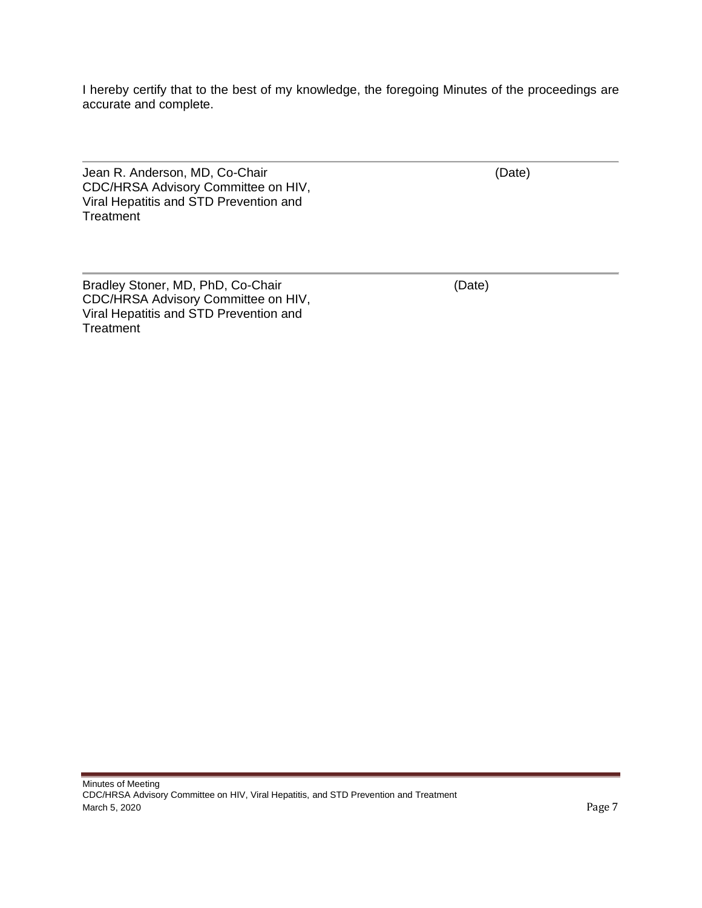<span id="page-6-0"></span>I hereby certify that to the best of my knowledge, the foregoing Minutes of the proceedings are accurate and complete.

Jean R. Anderson, MD, Co-Chair (Date) (Date) CDC/HRSA Advisory Committee on HIV, Viral Hepatitis and STD Prevention and **Treatment** 

Bradley Stoner, MD, PhD, Co-Chair (Date) CDC/HRSA Advisory Committee on HIV, Viral Hepatitis and STD Prevention and **Treatment**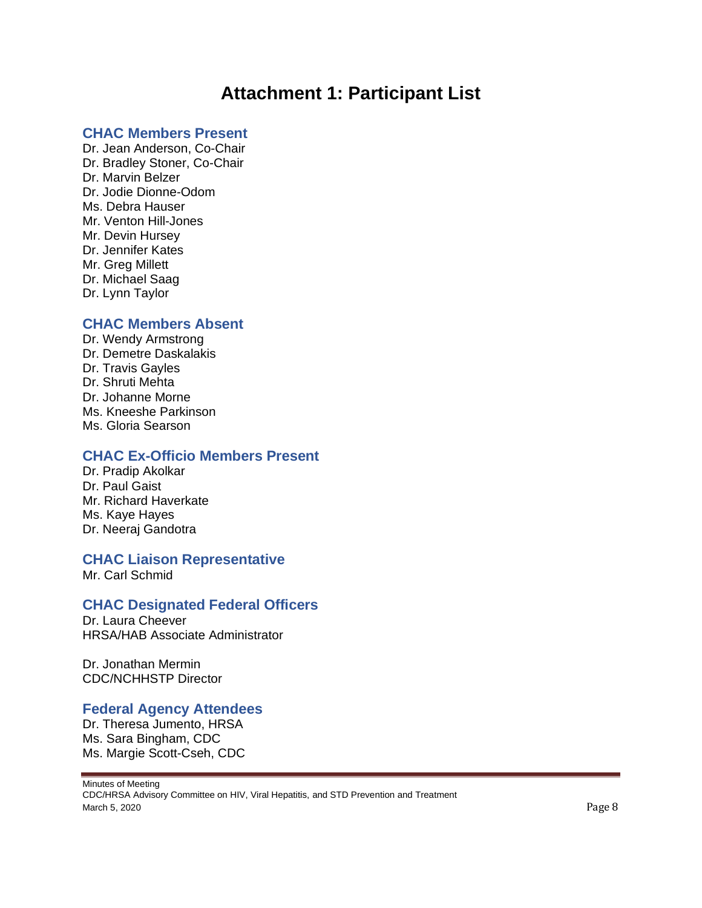# **Attachment 1: Participant List**

### <span id="page-7-0"></span>**CHAC Members Present**

Dr. Jean Anderson, Co-Chair Dr. Bradley Stoner, Co-Chair Dr. Marvin Belzer Dr. Jodie Dionne-Odom Ms. Debra Hauser Mr. Venton Hill-Jones Mr. Devin Hursey Dr. Jennifer Kates Mr. Greg Millett Dr. Michael Saag Dr. Lynn Taylor

### **CHAC Members Absent**

Dr. Wendy Armstrong Dr. Demetre Daskalakis Dr. Travis Gayles Dr. Shruti Mehta Dr. Johanne Morne Ms. Kneeshe Parkinson Ms. Gloria Searson

## **CHAC Ex-Officio Members Present**

Dr. Pradip Akolkar Dr. Paul Gaist Mr. Richard Haverkate Ms. Kaye Hayes Dr. Neeraj Gandotra

## **CHAC Liaison Representative**

Mr. Carl Schmid

## **CHAC Designated Federal Officers**

Dr. Laura Cheever HRSA/HAB Associate Administrator

Dr. Jonathan Mermin CDC/NCHHSTP Director

## **Federal Agency Attendees**

Dr. Theresa Jumento, HRSA Ms. Sara Bingham, CDC Ms. Margie Scott-Cseh, CDC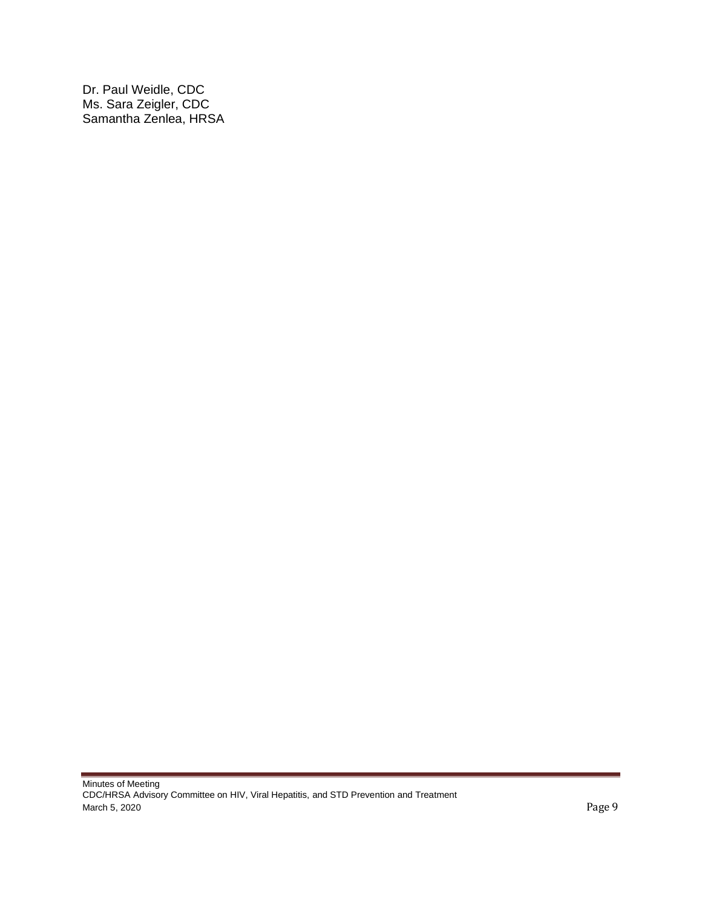Dr. Paul Weidle, CDC Ms. Sara Zeigler, CDC Samantha Zenlea, HRSA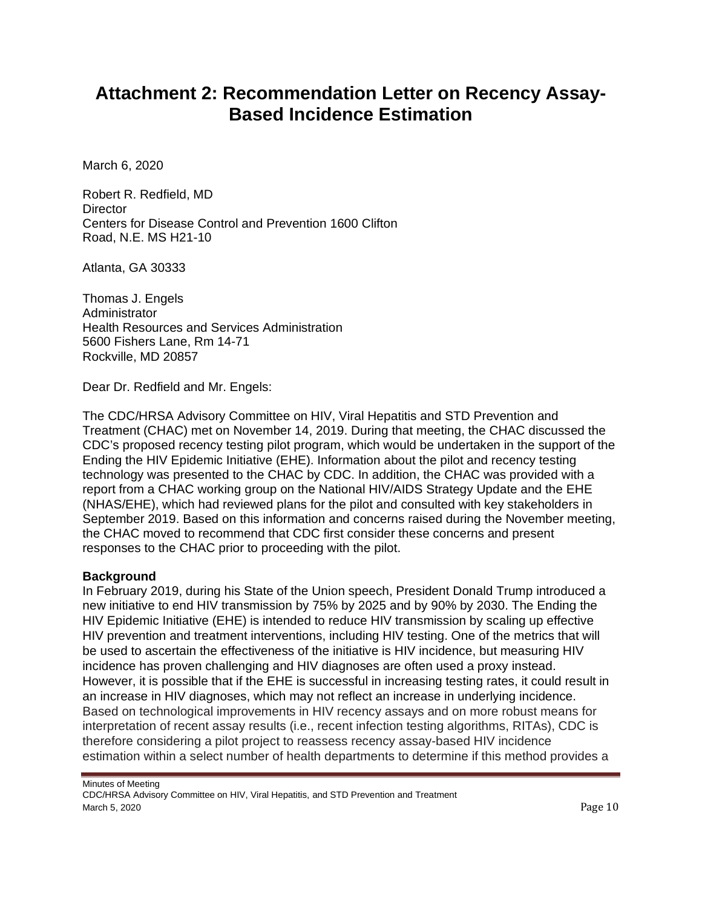# <span id="page-9-0"></span>**Attachment 2: Recommendation Letter on Recency Assay-Based Incidence Estimation**

March 6, 2020

Robert R. Redfield, MD **Director** Centers for Disease Control and Prevention 1600 Clifton Road, N.E. MS H21-10

Atlanta, GA 30333

Thomas J. Engels **Administrator** Health Resources and Services Administration 5600 Fishers Lane, Rm 14-71 Rockville, MD 20857

Dear Dr. Redfield and Mr. Engels:

The CDC/HRSA Advisory Committee on HIV, Viral Hepatitis and STD Prevention and Treatment (CHAC) met on November 14, 2019. During that meeting, the CHAC discussed the CDC's proposed recency testing pilot program, which would be undertaken in the support of the Ending the HIV Epidemic Initiative (EHE). Information about the pilot and recency testing technology was presented to the CHAC by CDC. In addition, the CHAC was provided with a report from a CHAC working group on the National HIV/AIDS Strategy Update and the EHE (NHAS/EHE), which had reviewed plans for the pilot and consulted with key stakeholders in September 2019. Based on this information and concerns raised during the November meeting, the CHAC moved to recommend that CDC first consider these concerns and present responses to the CHAC prior to proceeding with the pilot.

### **Background**

In February 2019, during his State of the Union speech, President Donald Trump introduced a new initiative to end HIV transmission by 75% by 2025 and by 90% by 2030. The Ending the HIV Epidemic Initiative (EHE) is intended to reduce HIV transmission by scaling up effective HIV prevention and treatment interventions, including HIV testing. One of the metrics that will be used to ascertain the effectiveness of the initiative is HIV incidence, but measuring HIV incidence has proven challenging and HIV diagnoses are often used a proxy instead. However, it is possible that if the EHE is successful in increasing testing rates, it could result in an increase in HIV diagnoses, which may not reflect an increase in underlying incidence. Based on technological improvements in HIV recency assays and on more robust means for interpretation of recent assay results (i.e., recent infection testing algorithms, RITAs), CDC is therefore considering a pilot project to reassess recency assay-based HIV incidence estimation within a select number of health departments to determine if this method provides a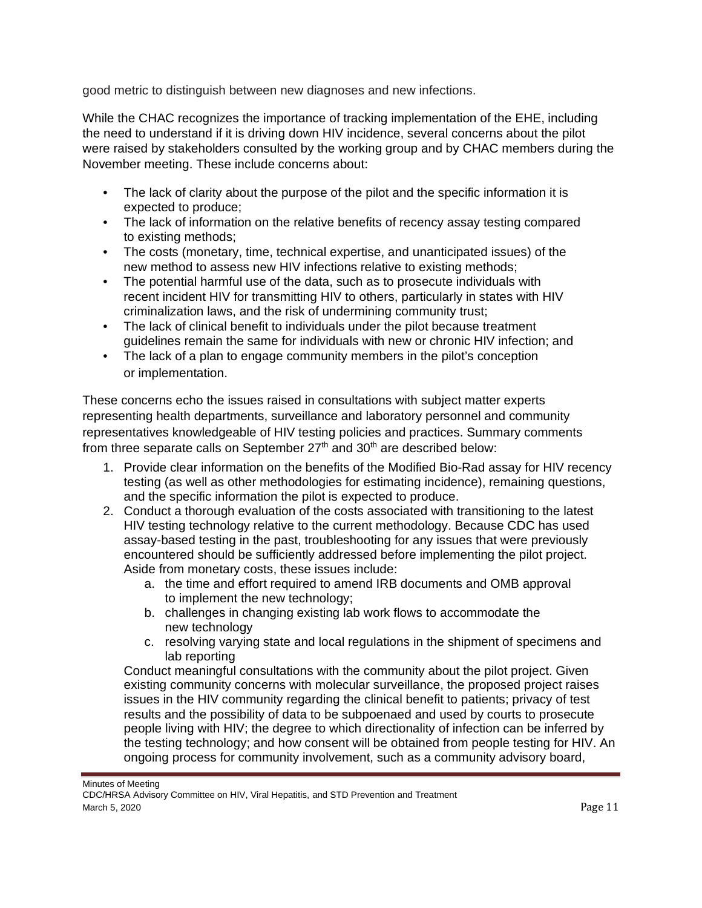good metric to distinguish between new diagnoses and new infections.

While the CHAC recognizes the importance of tracking implementation of the EHE, including the need to understand if it is driving down HIV incidence, several concerns about the pilot were raised by stakeholders consulted by the working group and by CHAC members during the November meeting. These include concerns about:

- The lack of clarity about the purpose of the pilot and the specific information it is expected to produce;
- The lack of information on the relative benefits of recency assay testing compared to existing methods;
- The costs (monetary, time, technical expertise, and unanticipated issues) of the new method to assess new HIV infections relative to existing methods;
- The potential harmful use of the data, such as to prosecute individuals with recent incident HIV for transmitting HIV to others, particularly in states with HIV criminalization laws, and the risk of undermining community trust;
- The lack of clinical benefit to individuals under the pilot because treatment guidelines remain the same for individuals with new or chronic HIV infection; and
- The lack of a plan to engage community members in the pilot's conception or implementation.

These concerns echo the issues raised in consultations with subject matter experts representing health departments, surveillance and laboratory personnel and community representatives knowledgeable of HIV testing policies and practices. Summary comments from three separate calls on September  $27<sup>th</sup>$  and  $30<sup>th</sup>$  are described below:

- 1. Provide clear information on the benefits of the Modified Bio-Rad assay for HIV recency testing (as well as other methodologies for estimating incidence), remaining questions, and the specific information the pilot is expected to produce.
- 2. Conduct a thorough evaluation of the costs associated with transitioning to the latest HIV testing technology relative to the current methodology. Because CDC has used assay-based testing in the past, troubleshooting for any issues that were previously encountered should be sufficiently addressed before implementing the pilot project. Aside from monetary costs, these issues include:
	- a. the time and effort required to amend IRB documents and OMB approval to implement the new technology;
	- b. challenges in changing existing lab work flows to accommodate the new technology
	- c. resolving varying state and local regulations in the shipment of specimens and lab reporting

Conduct meaningful consultations with the community about the pilot project. Given existing community concerns with molecular surveillance, the proposed project raises issues in the HIV community regarding the clinical benefit to patients; privacy of test results and the possibility of data to be subpoenaed and used by courts to prosecute people living with HIV; the degree to which directionality of infection can be inferred by the testing technology; and how consent will be obtained from people testing for HIV. An ongoing process for community involvement, such as a community advisory board,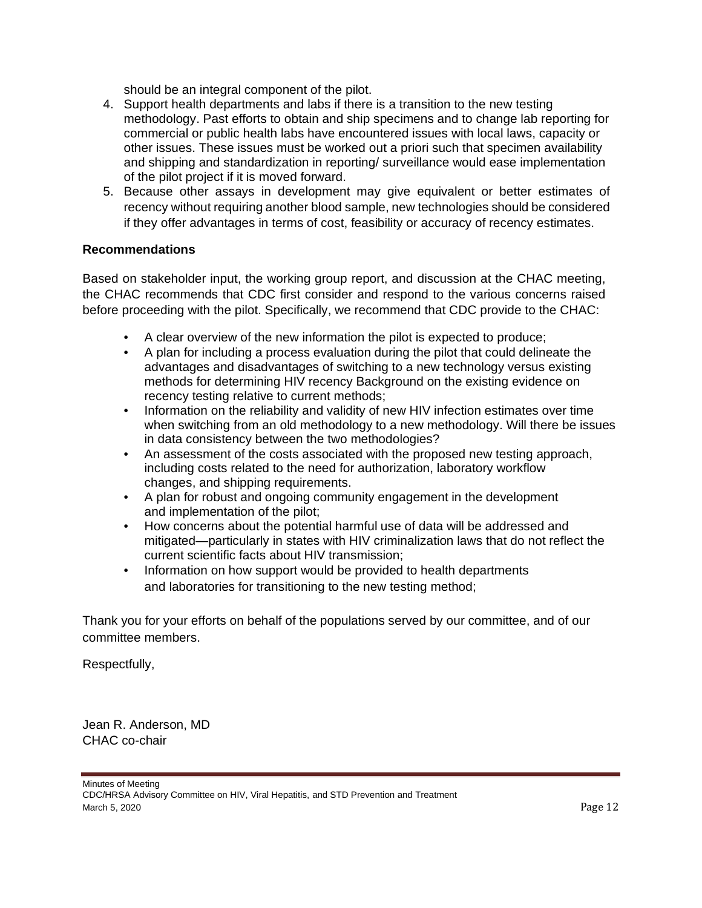should be an integral component of the pilot.

- 4. Support health departments and labs if there is a transition to the new testing methodology. Past efforts to obtain and ship specimens and to change lab reporting for commercial or public health labs have encountered issues with local laws, capacity or other issues. These issues must be worked out a priori such that specimen availability and shipping and standardization in reporting/ surveillance would ease implementation of the pilot project if it is moved forward.
- 5. Because other assays in development may give equivalent or better estimates of recency without requiring another blood sample, new technologies should be considered if they offer advantages in terms of cost, feasibility or accuracy of recency estimates.

## **Recommendations**

Based on stakeholder input, the working group report, and discussion at the CHAC meeting, the CHAC recommends that CDC first consider and respond to the various concerns raised before proceeding with the pilot. Specifically, we recommend that CDC provide to the CHAC:

- A clear overview of the new information the pilot is expected to produce;
- A plan for including a process evaluation during the pilot that could delineate the advantages and disadvantages of switching to a new technology versus existing methods for determining HIV recency Background on the existing evidence on recency testing relative to current methods;
- Information on the reliability and validity of new HIV infection estimates over time when switching from an old methodology to a new methodology. Will there be issues in data consistency between the two methodologies?
- An assessment of the costs associated with the proposed new testing approach, including costs related to the need for authorization, laboratory workflow changes, and shipping requirements.
- A plan for robust and ongoing community engagement in the development and implementation of the pilot;
- How concerns about the potential harmful use of data will be addressed and mitigated—particularly in states with HIV criminalization laws that do not reflect the current scientific facts about HIV transmission;
- Information on how support would be provided to health departments and laboratories for transitioning to the new testing method;

Thank you for your efforts on behalf of the populations served by our committee, and of our committee members.

Respectfully,

Jean R. Anderson, MD CHAC co-chair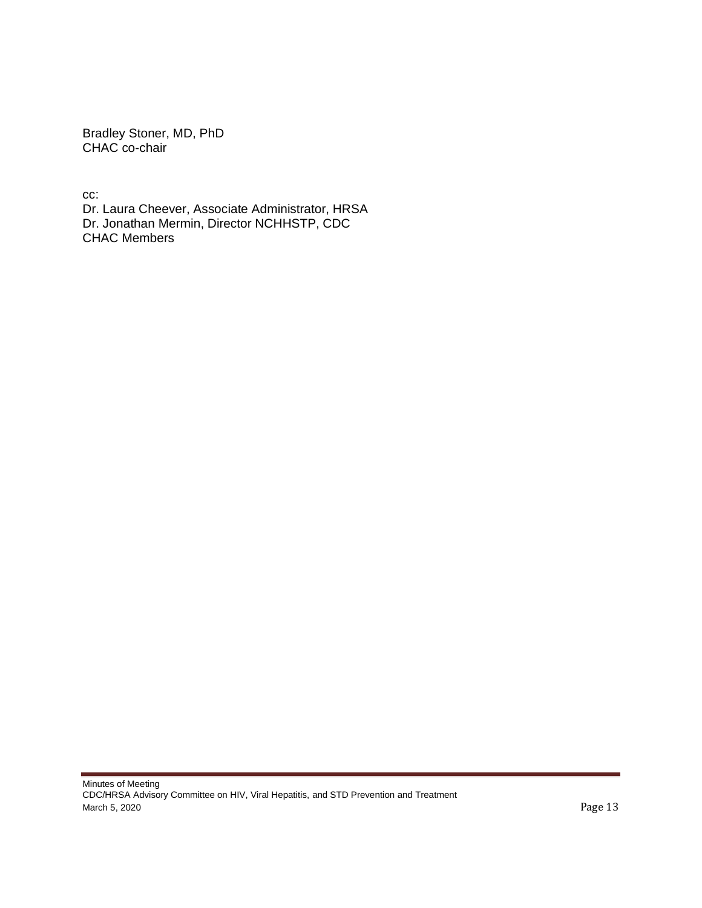Bradley Stoner, MD, PhD CHAC co-chair

cc: Dr. Laura Cheever, Associate Administrator, HRSA Dr. Jonathan Mermin, Director NCHHSTP, CDC CHAC Members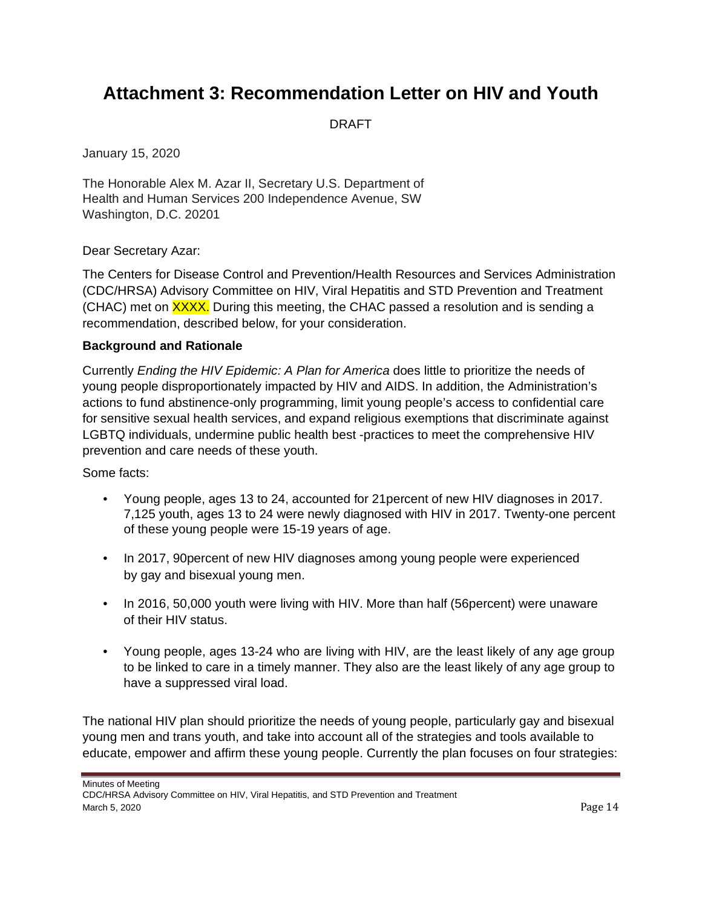# <span id="page-13-0"></span>**Attachment 3: Recommendation Letter on HIV and Youth**

DRAFT

January 15, 2020

The Honorable Alex M. Azar II, Secretary U.S. Department of Health and Human Services 200 Independence Avenue, SW Washington, D.C. 20201

Dear Secretary Azar:

The Centers for Disease Control and Prevention/Health Resources and Services Administration (CDC/HRSA) Advisory Committee on HIV, Viral Hepatitis and STD Prevention and Treatment (CHAC) met on **XXXX.** During this meeting, the CHAC passed a resolution and is sending a recommendation, described below, for your consideration.

#### **Background and Rationale**

Currently *Ending the HIV Epidemic: A Plan for America* does little to prioritize the needs of young people disproportionately impacted by HIV and AIDS. In addition, the Administration's actions to fund abstinence-only programming, limit young people's access to confidential care for sensitive sexual health services, and expand religious exemptions that discriminate against LGBTQ individuals, undermine public health best -practices to meet the comprehensive HIV prevention and care needs of these youth.

Some facts:

- Young people, ages 13 to 24, accounted for 21percent of new HIV diagnoses in 2017. 7,125 youth, ages 13 to 24 were newly diagnosed with HIV in 2017. Twenty-one percent of these young people were 15-19 years of age.
- In 2017, 90percent of new HIV diagnoses among young people were experienced by gay and bisexual young men.
- In 2016, 50,000 youth were living with HIV. More than half (56 percent) were unaware of their HIV status.
- Young people, ages 13-24 who are living with HIV, are the least likely of any age group to be linked to care in a timely manner. They also are the least likely of any age group to have a suppressed viral load.

The national HIV plan should prioritize the needs of young people, particularly gay and bisexual young men and trans youth, and take into account all of the strategies and tools available to educate, empower and affirm these young people. Currently the plan focuses on four strategies: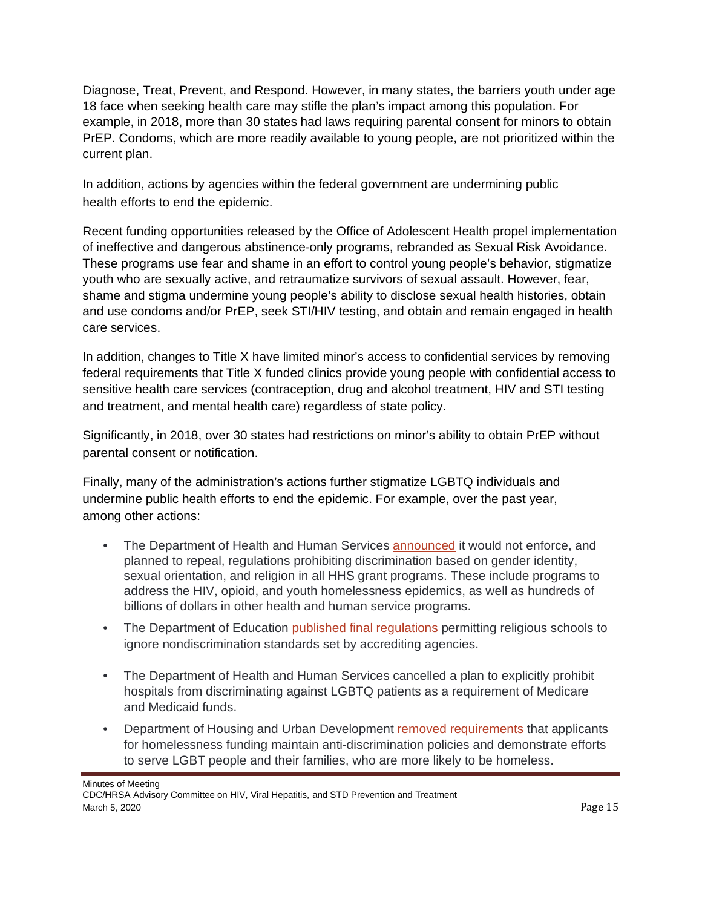Diagnose, Treat, Prevent, and Respond. However, in many states, the barriers youth under age 18 face when seeking health care may stifle the plan's impact among this population. For example, in 2018, more than 30 states had laws requiring parental consent for minors to obtain PrEP. Condoms, which are more readily available to young people, are not prioritized within the current plan.

In addition, actions by agencies within the federal government are undermining public health efforts to end the epidemic.

Recent funding opportunities released by the Office of Adolescent Health propel implementation of ineffective and dangerous abstinence-only programs, rebranded as Sexual Risk Avoidance. These programs use fear and shame in an effort to control young people's behavior, stigmatize youth who are sexually active, and retraumatize survivors of sexual assault. However, fear, shame and stigma undermine young people's ability to disclose sexual health histories, obtain and use condoms and/or PrEP, seek STI/HIV testing, and obtain and remain engaged in health care services.

In addition, changes to Title X have limited minor's access to confidential services by removing federal requirements that Title X funded clinics provide young people with confidential access to sensitive health care services (contraception, drug and alcohol treatment, HIV and STI testing and treatment, and mental health care) regardless of state policy.

Significantly, in 2018, over 30 states had restrictions on minor's ability to obtain PrEP without parental consent or notification.

Finally, many of the administration's actions further stigmatize LGBTQ individuals and undermine public health efforts to end the epidemic. For example, over the past year, among other actions:

- The Department of Health and Human Services [announced](https://www.hhs.gov/about/news/2019/11/01/hhs-issues-proposed-rule-to-align-grants-regulation.html) it would not enforce, and planned to repeal, regulations prohibiting discrimination based on gender identity, sexual orientation, and religion in all HHS grant programs. These include programs to address the HIV, opioid, and youth homelessness epidemics, as well as hundreds of billions of dollars in other health and human service programs.
- The Department of Education [published final regulations](https://www.federalregister.gov/documents/2019/11/01/2019-23129/student-assistance-general-provisions-the-secretarys-recognition-of-accrediting-agencies-the) permitting religious schools to ignore nondiscrimination standards set by accrediting agencies.
- The Department of Health and Human Services cancelled a plan to explicitly prohibit hospitals from discriminating against LGBTQ patients as a requirement of Medicare and Medicaid funds.
- Department of Housing and Urban Development [removed requirements](https://wexton.house.gov/media/press-releases/reps-wexton-pressley-slam-secretary-carson-s-latest-attack-transgender) that applicants for homelessness funding maintain anti-discrimination policies and demonstrate efforts to serve LGBT people and their families, who are more likely to be homeless.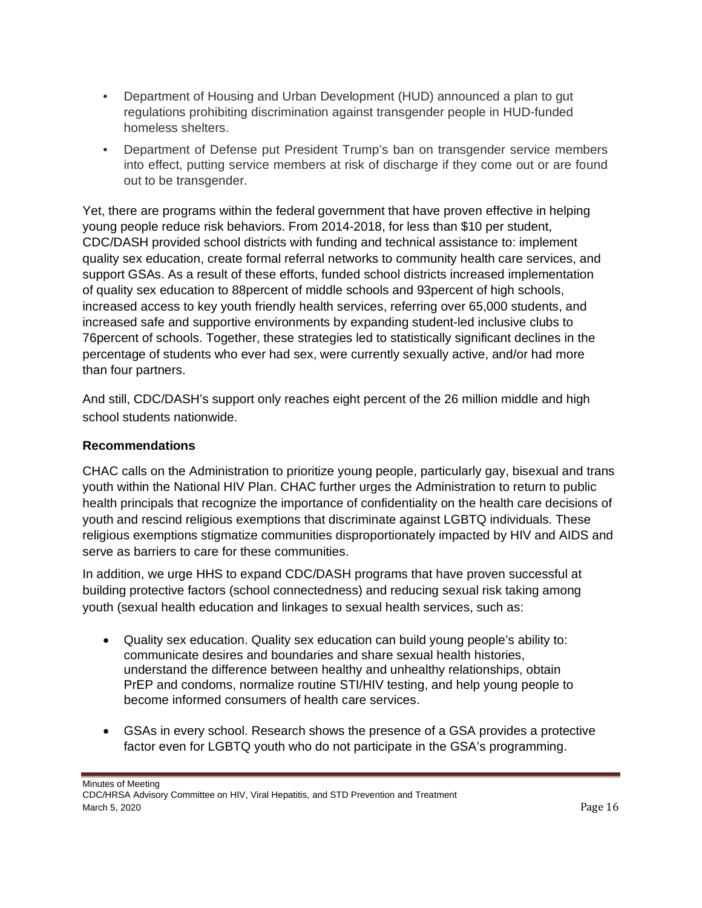- Department of Housing and Urban Development (HUD) announced a plan to gut regulations prohibiting discrimination against transgender people in HUD-funded homeless shelters.
- Department of Defense put President Trump's ban on transgender service members into effect, putting service members at risk of discharge if they come out or are found out to be transgender.

Yet, there are programs within the federal government that have proven effective in helping young people reduce risk behaviors. From 2014-2018, for less than \$10 per student, CDC/DASH provided school districts with funding and technical assistance to: implement quality sex education, create formal referral networks to community health care services, and support GSAs. As a result of these efforts, funded school districts increased implementation of quality sex education to 88percent of middle schools and 93percent of high schools, increased access to key youth friendly health services, referring over 65,000 students, and increased safe and supportive environments by expanding student-led inclusive clubs to 76percent of schools. Together, these strategies led to statistically significant declines in the percentage of students who ever had sex, were currently sexually active, and/or had more than four partners.

And still, CDC/DASH's support only reaches eight percent of the 26 million middle and high school students nationwide.

## **Recommendations**

CHAC calls on the Administration to prioritize young people, particularly gay, bisexual and trans youth within the National HIV Plan. CHAC further urges the Administration to return to public health principals that recognize the importance of confidentiality on the health care decisions of youth and rescind religious exemptions that discriminate against LGBTQ individuals. These religious exemptions stigmatize communities disproportionately impacted by HIV and AIDS and serve as barriers to care for these communities.

In addition, we urge HHS to expand CDC/DASH programs that have proven successful at building protective factors (school connectedness) and reducing sexual risk taking among youth (sexual health education and linkages to sexual health services, such as:

- Quality sex education. Quality sex education can build young people's ability to: communicate desires and boundaries and share sexual health histories, understand the difference between healthy and unhealthy relationships, obtain PrEP and condoms, normalize routine STI/HIV testing, and help young people to become informed consumers of health care services.
- GSAs in every school. Research shows the presence of a GSA provides a protective factor even for LGBTQ youth who do not participate in the GSA's programming.